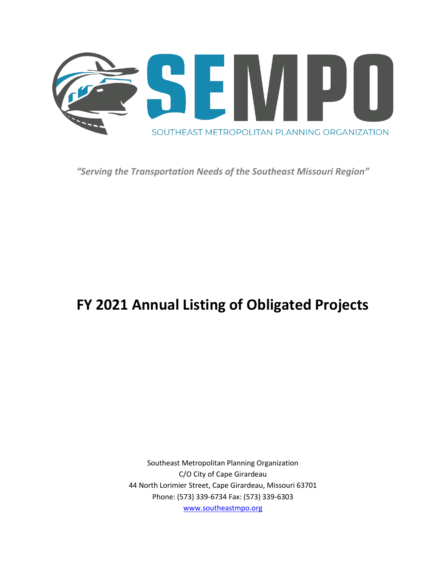

*"Serving the Transportation Needs of the Southeast Missouri Region"*

# **FY 2021 Annual Listing of Obligated Projects**

Southeast Metropolitan Planning Organization C/O City of Cape Girardeau 44 North Lorimier Street, Cape Girardeau, Missouri 63701 Phone: (573) 339-6734 Fax: (573) 339-6303 [www.southeastmpo.org](file://///RPCNAS/Documents/Planning/Region/Transportation/Southeast%20MPO/Documents/ALOP/FY17%20ALOP/www.southeastmpo.org)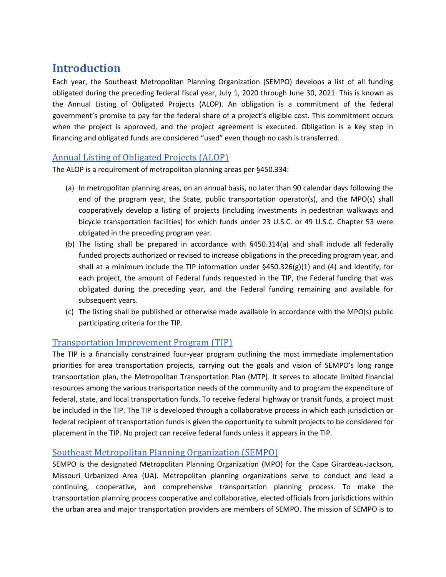## **Introduction**

Each year, the Southeast Metropolitan Planning Organization (SEMPO) develops a list of all funding obligated during the preceding federal fiscal year, July 1, 2020 through June 30, 2021. This is known as the Annual Listing of Obligated Projects (ALOP). An obligation is a commitment of the federal government's promise to pay for the federal share of a project's eligible cost. This commitment occurs when the project is approved, and the project agreement is executed. Obligation is a key step in financing and obligated funds are considered "used" even though no cash is transferred.

### Annual Listing of Obligated Projects (ALOP)

The ALOP is a requirement of metropolitan planning areas per §450.334:

- (a) In metropolitan planning areas, on an annual basis, no later than 90 calendar days following the end of the program year, the State, public transportation operator(s), and the MPO(s) shall cooperatively develop a listing of projects (including investments in pedestrian walkways and bicycle transportation facilities) for which funds under 23 U.S.C. or 49 U.S.C. Chapter 53 were obligated in the preceding program year.
- (b) The listing shall be prepared in accordance with §450.314(a) and shall include all federally funded projects authorized or revised to increase obligations in the preceding program year, and shall at a minimum include the TIP information under  $\S$ 450.326(g)(1) and (4) and identify, for each project, the amount of Federal funds requested in the TIP, the Federal funding that was obligated during the preceding year, and the Federal funding remaining and available for subsequent years.
- (c) The listing shall be published or otherwise made available in accordance with the MPO(s) public participating criteria for the TIP.

## Transportation Improvement Program (TIP)

The TIP is a financially constrained four-year program outlining the most immediate implementation priorities for area transportation projects, carrying out the goals and vision of SEMPO's long range transportation plan, the Metropolitan Transportation Plan (MTP). It serves to allocate limited financial resources among the various transportation needs of the community and to program the expenditure of federal, state, and local transportation funds. To receive federal highway or transit funds, a project must be included in the TIP. The TIP is developed through a collaborative process in which each jurisdiction or federal recipient of transportation funds is given the opportunity to submit projects to be considered for placement in the TIP. No project can receive federal funds unless it appears in the TIP.

### Southeast Metropolitan Planning Organization (SEMPO)

SEMPO is the designated Metropolitan Planning Organization (MPO) for the Cape Girardeau-Jackson, Missouri Urbanized Area (UA). Metropolitan planning organizations serve to conduct and lead a continuing, cooperative, and comprehensive transportation planning process. To make the transportation planning process cooperative and collaborative, elected officials from jurisdictions within the urban area and major transportation providers are members of SEMPO. The mission of SEMPO is to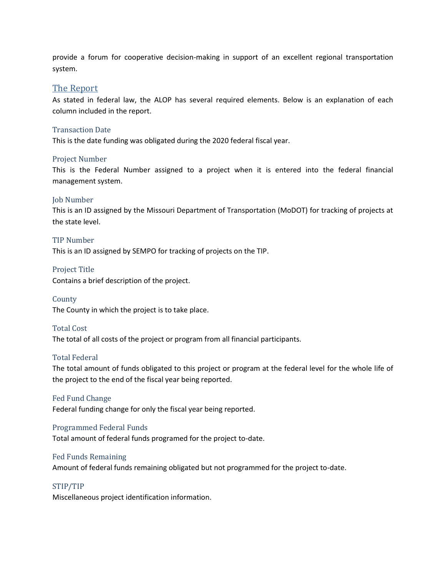provide a forum for cooperative decision-making in support of an excellent regional transportation system.

#### The Report

As stated in federal law, the ALOP has several required elements. Below is an explanation of each column included in the report.

#### Transaction Date

This is the date funding was obligated during the 2020 federal fiscal year.

#### Project Number

This is the Federal Number assigned to a project when it is entered into the federal financial management system.

#### Job Number

This is an ID assigned by the Missouri Department of Transportation (MoDOT) for tracking of projects at the state level.

#### TIP Number

This is an ID assigned by SEMPO for tracking of projects on the TIP.

Project Title Contains a brief description of the project.

County The County in which the project is to take place.

#### Total Cost

The total of all costs of the project or program from all financial participants.

#### Total Federal

The total amount of funds obligated to this project or program at the federal level for the whole life of the project to the end of the fiscal year being reported.

#### Fed Fund Change

Federal funding change for only the fiscal year being reported.

#### Programmed Federal Funds

Total amount of federal funds programed for the project to-date.

#### Fed Funds Remaining

Amount of federal funds remaining obligated but not programmed for the project to-date.

#### STIP/TIP

Miscellaneous project identification information.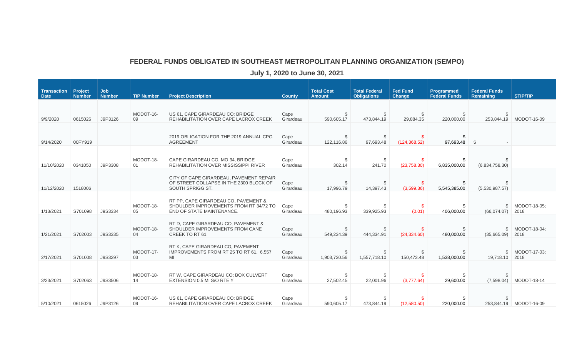## **FEDERAL FUNDS OBLIGATED IN SOUTHEAST METROPOLITAN PLANNING ORGANIZATION (SEMPO)**

**July 1, 2020 to June 30, 2021**

| <b>Transaction</b><br><b>Date</b> | Project<br><b>Number</b> | <b>Job</b><br><b>Number</b> | <b>TIP Number</b> | <b>Project Description</b>                                                                                  | <b>County</b>     | <b>Total Cost</b><br><b>Amount</b> | <b>Total Federal</b><br><b>Obligations</b> | <b>Fed Fund</b><br><b>Change</b> | Programmed<br><b>Federal Funds</b> | <b>Federal Funds</b><br>Remaining | <b>STIP/TIP</b>      |
|-----------------------------------|--------------------------|-----------------------------|-------------------|-------------------------------------------------------------------------------------------------------------|-------------------|------------------------------------|--------------------------------------------|----------------------------------|------------------------------------|-----------------------------------|----------------------|
| 9/9/2020                          | 0615026                  | J9P3126                     | MODOT-16-<br>09   | US 61, CAPE GIRARDEAU CO: BRIDGE<br>REHABILITATION OVER CAPE LACROX CREEK                                   | Cape<br>Girardeau | S<br>590,605.17                    | 473,844.19                                 | \$<br>29,884.35                  | 220,000.00                         | 253,844.19                        | MODOT-16-09          |
| 9/14/2020                         | 00FY919                  |                             |                   | 2019 OBLIGATION FOR THE 2019 ANNUAL CPG<br><b>AGREEMENT</b>                                                 | Cape<br>Girardeau | \$<br>122,116.86                   | \$<br>97,693.48                            | -\$<br>(124, 368.52)             | \$<br>97,693.48                    | $\mathbb{S}$                      |                      |
| 11/10/2020                        | 0341050                  | J9P3308                     | MODOT-18-<br>01   | CAPE GIRARDEAU CO, MO 34, BRIDGE<br><b>REHABILITATION OVER MISSISSIPPI RIVER</b>                            | Cape<br>Girardeau | \$<br>302.14                       | -S<br>241.70                               | \$.<br>(23,758,30)               | S.<br>6,835,000.00                 | (6,834,758.30)                    |                      |
| 11/12/2020                        | 1518006                  |                             |                   | CITY OF CAPE GIRARDEAU, PAVEMENT REPAIR<br>OF STREET COLLAPSE IN THE 2300 BLOCK OF<br>SOUTH SPRIGG ST.      | Cape<br>Girardeau | \$<br>17,996.79                    | $\mathcal{L}$<br>14,397.43                 | \$.<br>(3,599.36)                | \$<br>5,545,385.00                 | (5,530,987.57)                    |                      |
| 1/13/2021                         | S701098                  | J9S3334                     | MODOT-18-<br>05   | RT PP, CAPE GIRARDEAU CO, PAVEMENT &<br>SHOULDER IMPROVEMENTS FROM RT 34/72 TO<br>END OF STATE MAINTENANCE. | Cape<br>Girardeau | \$<br>480,196.93                   | 339,925.93                                 | S.<br>(0.01)                     | \$<br>406,000.00                   | \$<br>(66,074.07)                 | MODOT-18-05:<br>2018 |
| 1/21/2021                         | S702003                  | J9S3335                     | MODOT-18-<br>04   | RT D. CAPE GIRARDEAU CO, PAVEMENT &<br>SHOULDER IMPROVEMENTS FROM CANE<br>CREEK TO RT 61                    | Cape<br>Girardeau | \$<br>549,234.39                   | 444.334.91                                 | -\$<br>(24, 334.60)              | \$<br>480.000.00                   | $\mathfrak{S}$<br>(35,665.09)     | MODOT-18-04;<br>2018 |
| 2/17/2021                         | S701008                  | J9S3297                     | MODOT-17-<br>03   | RT K, CAPE GIRARDEAU CO, PAVEMENT<br>IMPROVEMENTS FROM RT 25 TO RT 61, 6.557<br>MI                          | Cape<br>Girardeau | \$<br>1,903,730.56                 | \$<br>1,557,718.10                         | \$<br>150,473.48                 | \$<br>1,538,000.00                 | \$<br>19,718.10                   | MODOT-17-03;<br>2018 |
| 3/23/2021                         | S702063                  | J9S3506                     | MODOT-18-<br>14   | RT W. CAPE GIRARDEAU CO: BOX CULVERT<br>EXTENSION 0.5 MI S/O RTE Y                                          | Cape<br>Girardeau | S<br>27,502.45                     | -S<br>22,001.96                            | \$.<br>(3,777.64)                | \$<br>29,600.00                    | -S<br>(7,598.04)                  | MODOT-18-14          |
| 5/10/2021                         | 0615026                  | J9P3126                     | MODOT-16-<br>09   | US 61, CAPE GIRARDEAU CO: BRIDGE<br>REHABILITATION OVER CAPE LACROX CREEK                                   | Cape<br>Girardeau | 590,605.17                         | 473,844.19                                 | (12,580.50)                      | 220,000.00                         | 253.844.19                        | MODOT-16-09          |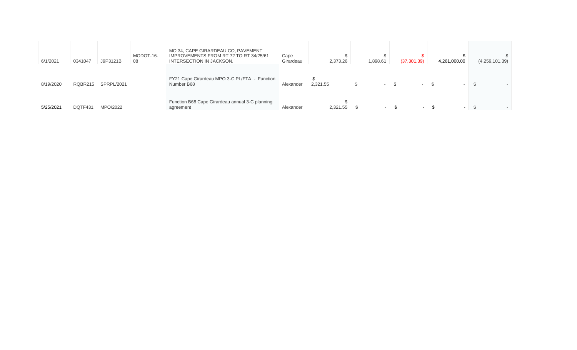| 6/1/2021  | 0341047 | J9P3121B   | MODOT-16-<br>08 | MO 34, CAPE GIRARDEAU CO, PAVEMENT<br>IMPROVEMENTS FROM RT 72 TO RT 34/25/61<br>INTERSECTION IN JACKSON. | Cape<br>Girardeau | 2,373.26 | 1,898.61                 | (37, 301.39) | 4,261,000.00 | (4,259,101.39) |  |
|-----------|---------|------------|-----------------|----------------------------------------------------------------------------------------------------------|-------------------|----------|--------------------------|--------------|--------------|----------------|--|
| 8/19/2020 | RQBR215 | SPRPL/2021 |                 | FY21 Cape Girardeau MPO 3-C PL/FTA - Function<br>Number B68                                              | Alexander         | 2,321.55 | <b>Contract Contract</b> | $\sim$       | $\sim$       |                |  |
| 5/25/2021 | DQTF431 | MPO/2022   |                 | Function B68 Cape Girardeau annual 3-C planning<br>agreement                                             | Alexander         | 2,321.55 | $\sim$ $\sim$            | $\sim$       | $\sim$       | $\sim$         |  |